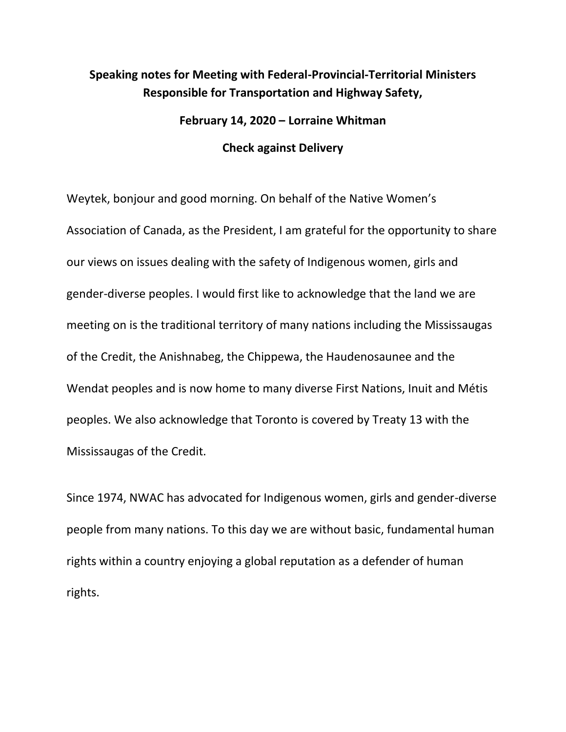## **Speaking notes for Meeting with Federal-Provincial-Territorial Ministers Responsible for Transportation and Highway Safety,**

# **February 14, 2020 – Lorraine Whitman Check against Delivery**

Weytek, bonjour and good morning. On behalf of the Native Women's Association of Canada, as the President, I am grateful for the opportunity to share our views on issues dealing with the safety of Indigenous women, girls and gender-diverse peoples. I would first like to acknowledge that the land we are meeting on is the traditional territory of many nations including the Mississaugas of the Credit, the Anishnabeg, the Chippewa, the Haudenosaunee and the Wendat peoples and is now home to many diverse First Nations, Inuit and Métis peoples. We also acknowledge that Toronto is covered by Treaty 13 with the Mississaugas of the Credit.

Since 1974, NWAC has advocated for Indigenous women, girls and gender-diverse people from many nations. To this day we are without basic, fundamental human rights within a country enjoying a global reputation as a defender of human rights.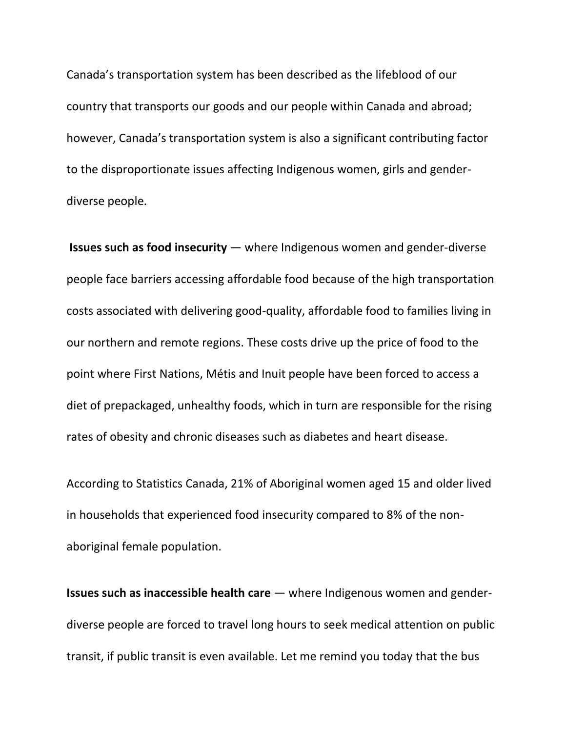Canada's transportation system has been described as the lifeblood of our country that transports our goods and our people within Canada and abroad; however, Canada's transportation system is also a significant contributing factor to the disproportionate issues affecting Indigenous women, girls and genderdiverse people.

 **Issues such as food insecurity** — where Indigenous women and gender-diverse people face barriers accessing affordable food because of the high transportation costs associated with delivering good-quality, affordable food to families living in our northern and remote regions. These costs drive up the price of food to the point where First Nations, Métis and Inuit people have been forced to access a diet of prepackaged, unhealthy foods, which in turn are responsible for the rising rates of obesity and chronic diseases such as diabetes and heart disease.

According to Statistics Canada, 21% of Aboriginal women aged 15 and older lived in households that experienced food insecurity compared to 8% of the nonaboriginal female population.

**Issues such as inaccessible health care** — where Indigenous women and genderdiverse people are forced to travel long hours to seek medical attention on public transit, if public transit is even available. Let me remind you today that the bus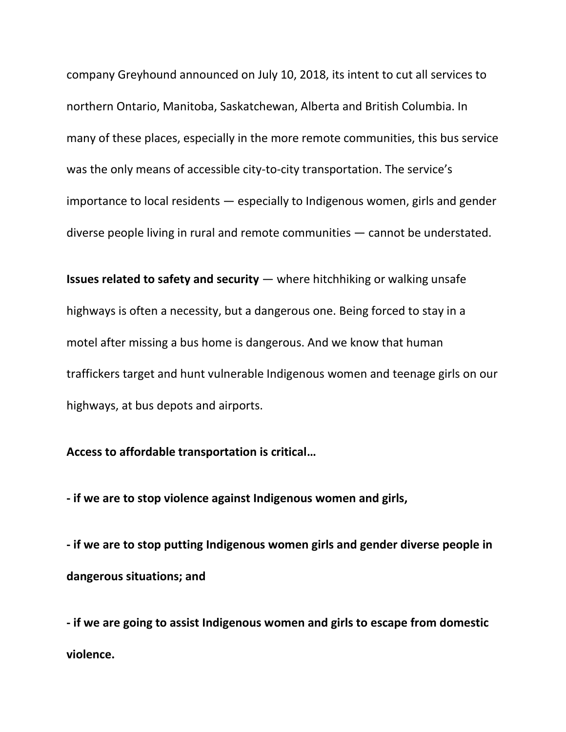company Greyhound announced on July 10, 2018, its intent to cut all services to northern Ontario, Manitoba, Saskatchewan, Alberta and British Columbia. In many of these places, especially in the more remote communities, this bus service was the only means of accessible city-to-city transportation. The service's importance to local residents — especially to Indigenous women, girls and gender diverse people living in rural and remote communities — cannot be understated.

**Issues related to safety and security** — where hitchhiking or walking unsafe highways is often a necessity, but a dangerous one. Being forced to stay in a motel after missing a bus home is dangerous. And we know that human traffickers target and hunt vulnerable Indigenous women and teenage girls on our highways, at bus depots and airports.

## **Access to affordable transportation is critical…**

**- if we are to stop violence against Indigenous women and girls,** 

**- if we are to stop putting Indigenous women girls and gender diverse people in dangerous situations; and**

**- if we are going to assist Indigenous women and girls to escape from domestic violence.**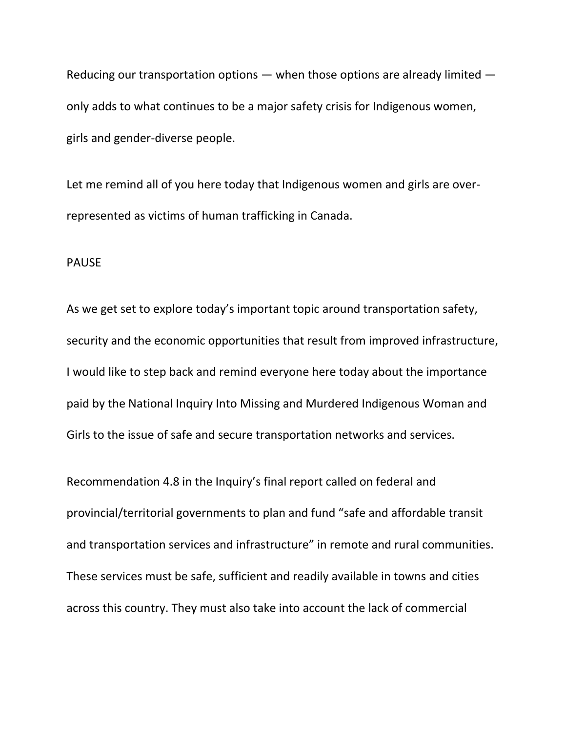Reducing our transportation options — when those options are already limited only adds to what continues to be a major safety crisis for Indigenous women, girls and gender-diverse people.

Let me remind all of you here today that Indigenous women and girls are overrepresented as victims of human trafficking in Canada.

#### PAUSE

As we get set to explore today's important topic around transportation safety, security and the economic opportunities that result from improved infrastructure, I would like to step back and remind everyone here today about the importance paid by the National Inquiry Into Missing and Murdered Indigenous Woman and Girls to the issue of safe and secure transportation networks and services.

Recommendation 4.8 in the Inquiry's final report called on federal and provincial/territorial governments to plan and fund "safe and affordable transit and transportation services and infrastructure" in remote and rural communities. These services must be safe, sufficient and readily available in towns and cities across this country. They must also take into account the lack of commercial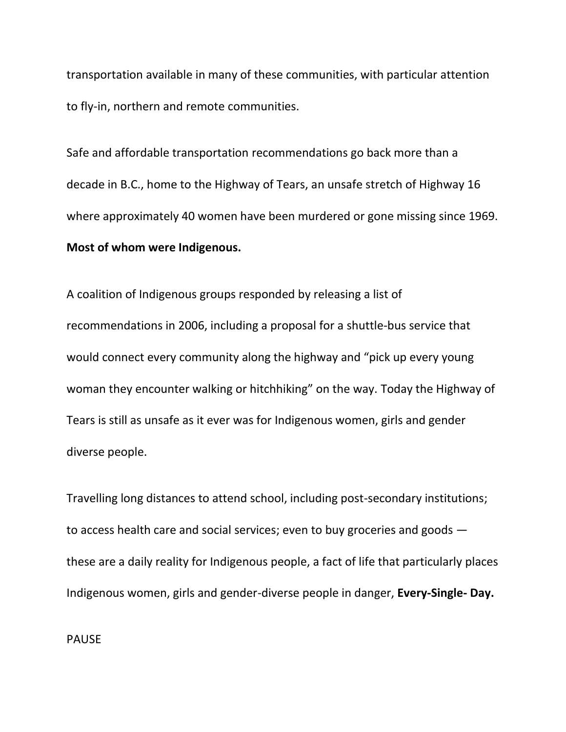transportation available in many of these communities, with particular attention to fly-in, northern and remote communities.

Safe and affordable transportation recommendations go back more than a decade in B.C., home to the Highway of Tears, an unsafe stretch of Highway 16 where approximately 40 women have been murdered or gone missing since 1969. **Most of whom were Indigenous.**

A coalition of Indigenous groups responded by releasing a list of recommendations in 2006, including a proposal for a shuttle-bus service that would connect every community along the highway and "pick up every young woman they encounter walking or hitchhiking" on the way. Today the Highway of Tears is still as unsafe as it ever was for Indigenous women, girls and gender diverse people.

Travelling long distances to attend school, including post-secondary institutions; to access health care and social services; even to buy groceries and goods these are a daily reality for Indigenous people, a fact of life that particularly places Indigenous women, girls and gender-diverse people in danger, **Every-Single- Day.** 

PAUSE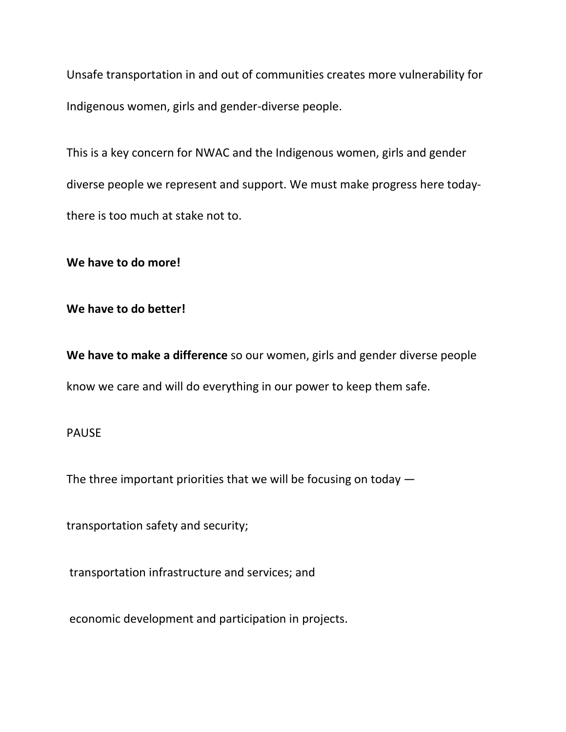Unsafe transportation in and out of communities creates more vulnerability for Indigenous women, girls and gender-diverse people.

This is a key concern for NWAC and the Indigenous women, girls and gender diverse people we represent and support. We must make progress here todaythere is too much at stake not to.

**We have to do more!** 

**We have to do better!** 

**We have to make a difference** so our women, girls and gender diverse people know we care and will do everything in our power to keep them safe.

## PAUSE

The three important priorities that we will be focusing on today —

transportation safety and security;

transportation infrastructure and services; and

economic development and participation in projects.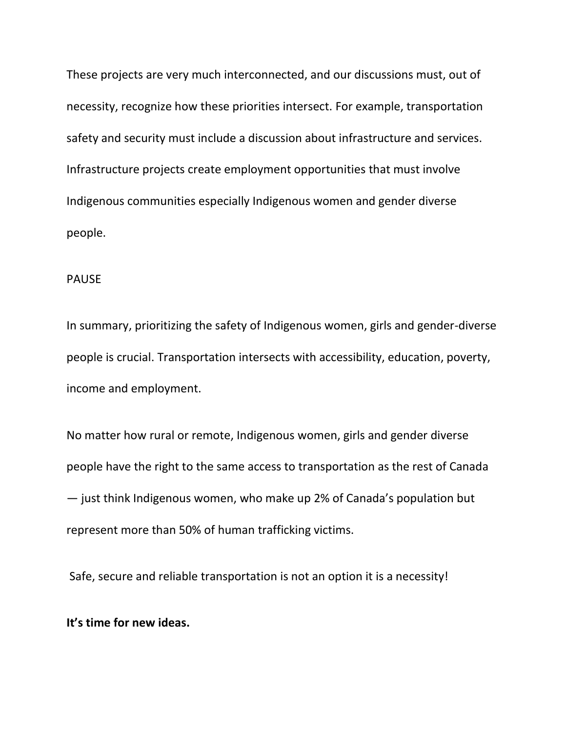These projects are very much interconnected, and our discussions must, out of necessity, recognize how these priorities intersect. For example, transportation safety and security must include a discussion about infrastructure and services. Infrastructure projects create employment opportunities that must involve Indigenous communities especially Indigenous women and gender diverse people.

#### PAUSE

In summary, prioritizing the safety of Indigenous women, girls and gender-diverse people is crucial. Transportation intersects with accessibility, education, poverty, income and employment.

No matter how rural or remote, Indigenous women, girls and gender diverse people have the right to the same access to transportation as the rest of Canada — just think Indigenous women, who make up 2% of Canada's population but represent more than 50% of human trafficking victims.

Safe, secure and reliable transportation is not an option it is a necessity!

## **It's time for new ideas.**